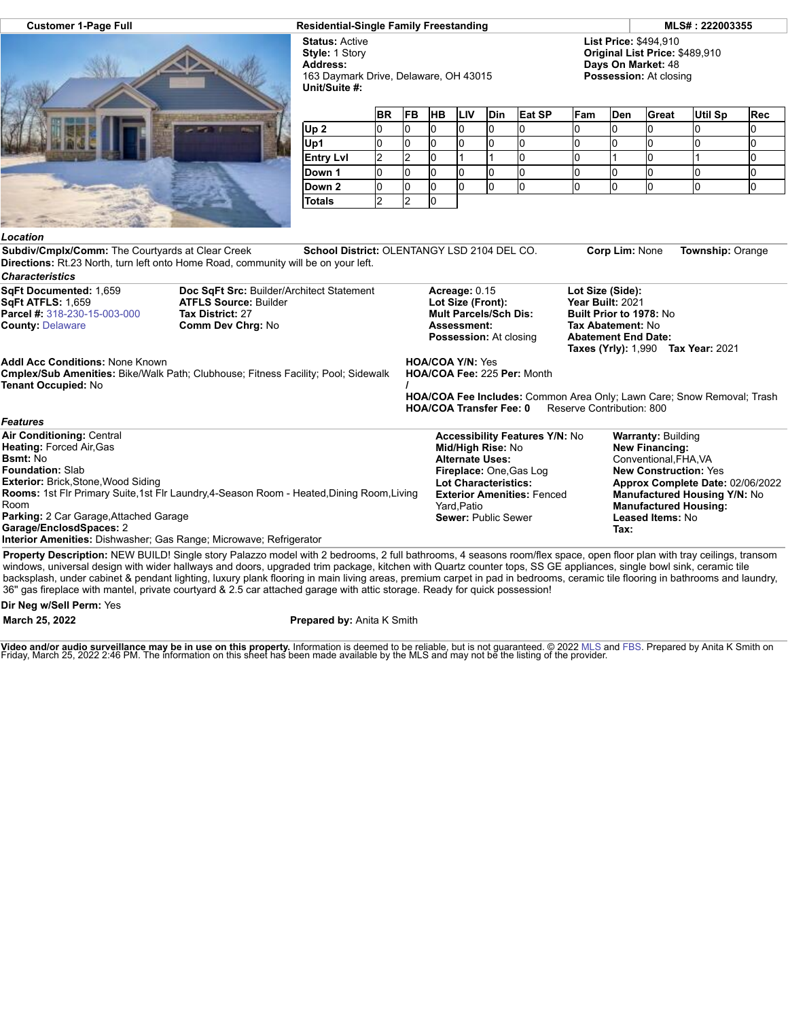

## **Customer 1-Page Full Residential-Single Family Freestanding MLS# : 222003355**

**Status:** Active **Style:** 1 Story **Address:** 163 Daymark Drive, Delaware, OH 43015 **Unit/Suite #:**

**List Price:** \$494,910 **Original List Price:** \$489,910 **Days On Market:** 48 **Possession:** At closing

|                  | <b>BR</b> | <b>FB</b> | <b>HB</b> | <b>ILIV</b> | <b>Din</b> | Eat SP | Fam | <b>Den</b> | <b>Great</b> | <b>Util Sp</b> | Rec |
|------------------|-----------|-----------|-----------|-------------|------------|--------|-----|------------|--------------|----------------|-----|
| Up <sub>2</sub>  | u         |           |           |             |            |        |     |            |              |                | u   |
| Up1              | U         |           |           |             |            |        |     |            |              |                | u   |
| <b>Entry Lvl</b> | ∼         |           |           |             |            |        |     |            |              |                | u   |
| Down 1           | U         |           |           |             |            |        |     |            |              |                |     |
| Down 2           | U         |           |           |             |            |        |     |            |              |                | U   |
| <b>Totals</b>    | ▃         |           |           |             |            |        |     |            |              |                |     |

## *Location*

**Subdiv/Cmplx/Comm:** The Courtyards at Clear Creek **School District:** OLENTANGY LSD 2104 DEL CO. **Corp Lim:** None **Township:** Orange **Directions:** Rt.23 North, turn left onto Home Road, community will be on your left.

| <b>Characteristics</b>                                                                                                                                                                                                                       |                                                                                                                                                                                                                                                                                                                                           |                                                                                                                                                                                                                           |                                                                                                                    |                                                                                                                                                                                                                                            |  |  |
|----------------------------------------------------------------------------------------------------------------------------------------------------------------------------------------------------------------------------------------------|-------------------------------------------------------------------------------------------------------------------------------------------------------------------------------------------------------------------------------------------------------------------------------------------------------------------------------------------|---------------------------------------------------------------------------------------------------------------------------------------------------------------------------------------------------------------------------|--------------------------------------------------------------------------------------------------------------------|--------------------------------------------------------------------------------------------------------------------------------------------------------------------------------------------------------------------------------------------|--|--|
| SqFt Documented: 1,659<br>SqFt ATFLS: 1,659<br><b>Parcel #: 318-230-15-003-000</b><br><b>County: Delaware</b>                                                                                                                                | Doc SqFt Src: Builder/Architect Statement<br><b>ATFLS Source: Builder</b><br><b>Tax District: 27</b><br>Comm Dev Chrg: No                                                                                                                                                                                                                 | Acreage: 0.15<br>Lot Size (Front):<br><b>Mult Parcels/Sch Dis:</b><br>Assessment:<br><b>Possession:</b> At closing                                                                                                        | Lot Size (Side):<br>Year Built: 2021<br>Built Prior to 1978: No<br>Tax Abatement: No<br><b>Abatement End Date:</b> | <b>Taxes (Yrly): 1,990 Tax Year: 2021</b>                                                                                                                                                                                                  |  |  |
| <b>Addl Acc Conditions: None Known</b><br>Tenant Occupied: No                                                                                                                                                                                | <b>Cmplex/Sub Amenities: Bike/Walk Path; Clubhouse; Fitness Facility; Pool; Sidewalk</b>                                                                                                                                                                                                                                                  | <b>HOA/COA Y/N: Yes</b><br><b>HOA/COA Fee: 225 Per: Month</b><br>HOA/COA Fee Includes: Common Area Only; Lawn Care; Snow Removal; Trash<br><b>HOA/COA Transfer Fee: 0</b><br>Reserve Contribution: 800                    |                                                                                                                    |                                                                                                                                                                                                                                            |  |  |
| <b>Features</b>                                                                                                                                                                                                                              |                                                                                                                                                                                                                                                                                                                                           |                                                                                                                                                                                                                           |                                                                                                                    |                                                                                                                                                                                                                                            |  |  |
| Air Conditioning: Central<br><b>Heating: Forced Air, Gas</b><br><b>Bsmt:</b> No<br><b>Foundation: Slab</b><br><b>Exterior: Brick, Stone, Wood Siding</b><br>Room<br><b>Parking: 2 Car Garage, Attached Garage</b><br>Garage/EnclosdSpaces: 2 | Rooms: 1st Flr Primary Suite,1st Flr Laundry,4-Season Room - Heated, Dining Room, Living<br>Interior Amenities: Dishwasher; Gas Range; Microwave; Refrigerator                                                                                                                                                                            | <b>Accessibility Features Y/N: No</b><br>Mid/High Rise: No<br><b>Alternate Uses:</b><br>Fireplace: One, Gas Log<br><b>Lot Characteristics:</b><br><b>Exterior Amenities: Fenced</b><br>Yard, Patio<br>Sewer: Public Sewer | Tax:                                                                                                               | <b>Warranty: Building</b><br>New Financing:<br>Conventional, FHA, VA<br><b>New Construction: Yes</b><br>Approx Complete Date: 02/06/2022<br><b>Manufactured Housing Y/N: No</b><br><b>Manufactured Housing:</b><br><b>Leased Items: No</b> |  |  |
|                                                                                                                                                                                                                                              | Property Description: NEW BUILD! Single story Palazzo model with 2 bedrooms, 2 full bathrooms, 4 seasons room/flex space, open floor plan with tray ceilings, transom<br>windows universal design with wider hallways and doors upgraded trim package, kitchen with Quartz counter tons, SS GF appliances, single bowl sink, ceramic tile |                                                                                                                                                                                                                           |                                                                                                                    |                                                                                                                                                                                                                                            |  |  |

windows, universal design with wider hallways and doors, upgraded trim package, kitchen with Quartz counter tops, SS GE appliances, single bowl sink, ceramic tile backsplash, under cabinet & pendant lighting, luxury plank flooring in main living areas, premium carpet in pad in bedrooms, ceramic tile flooring in bathrooms and laundry, 36'' gas fireplace with mantel, private courtyard & 2.5 car attached garage with attic storage. Ready for quick possession!

## **Dir Neg w/Sell Perm:** Yes

**March 25, 2022 Prepared by:** Anita K Smith

**Video and/or audio surveillance may be in use on this property.** Information is deemed to be reliable, but is not guaranteed. © 2022 [MLS](http://www.columbusrealtors.com/) and [FBS](http://www.flexmls.com/copyright_notice.html?2). Prepared by Anita K Smith on<br>Friday, March 25, 2022 2:46 PM. The informatio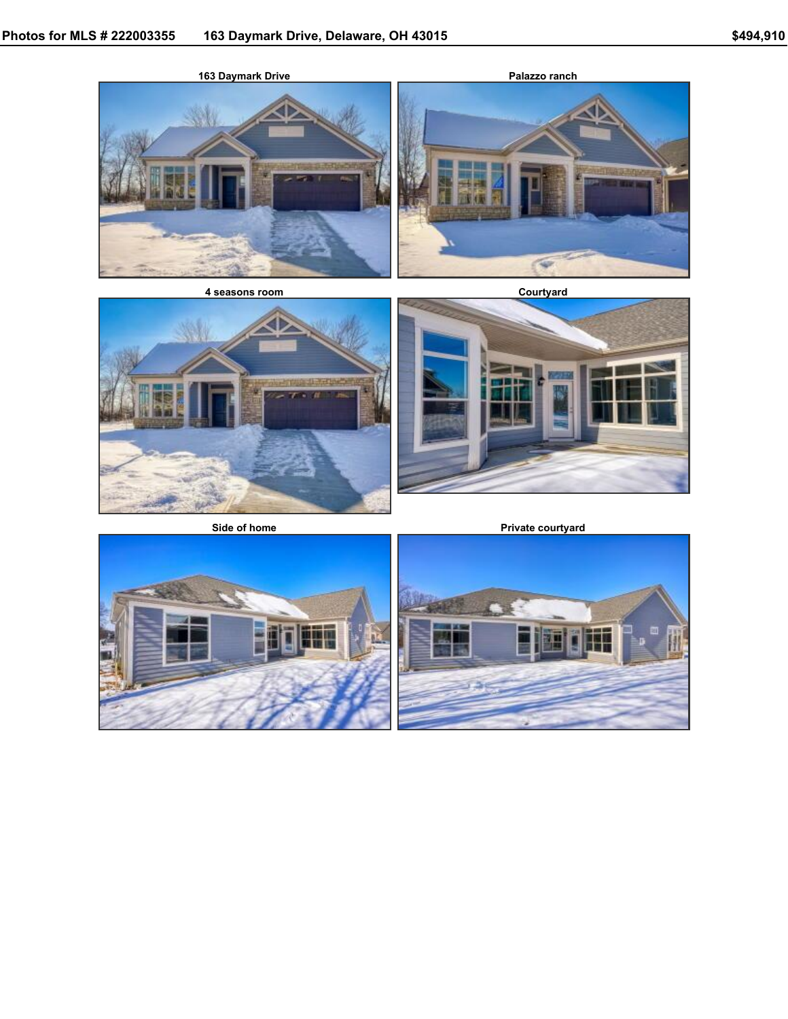



**Side of home Private courtyard**



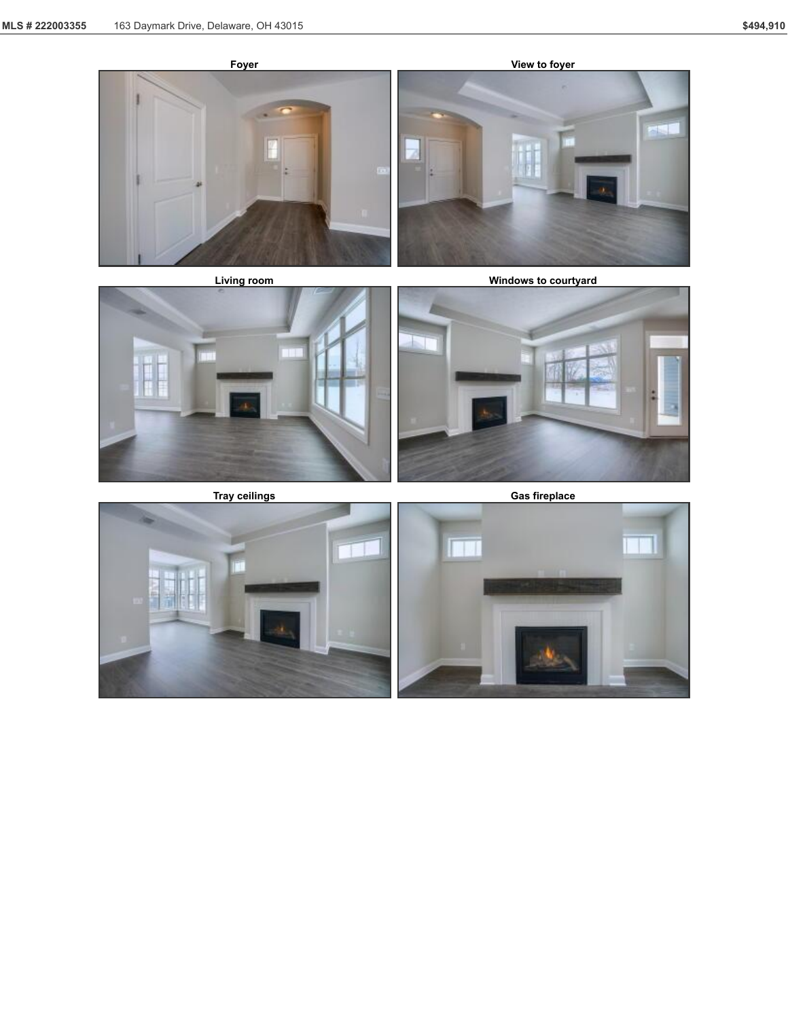





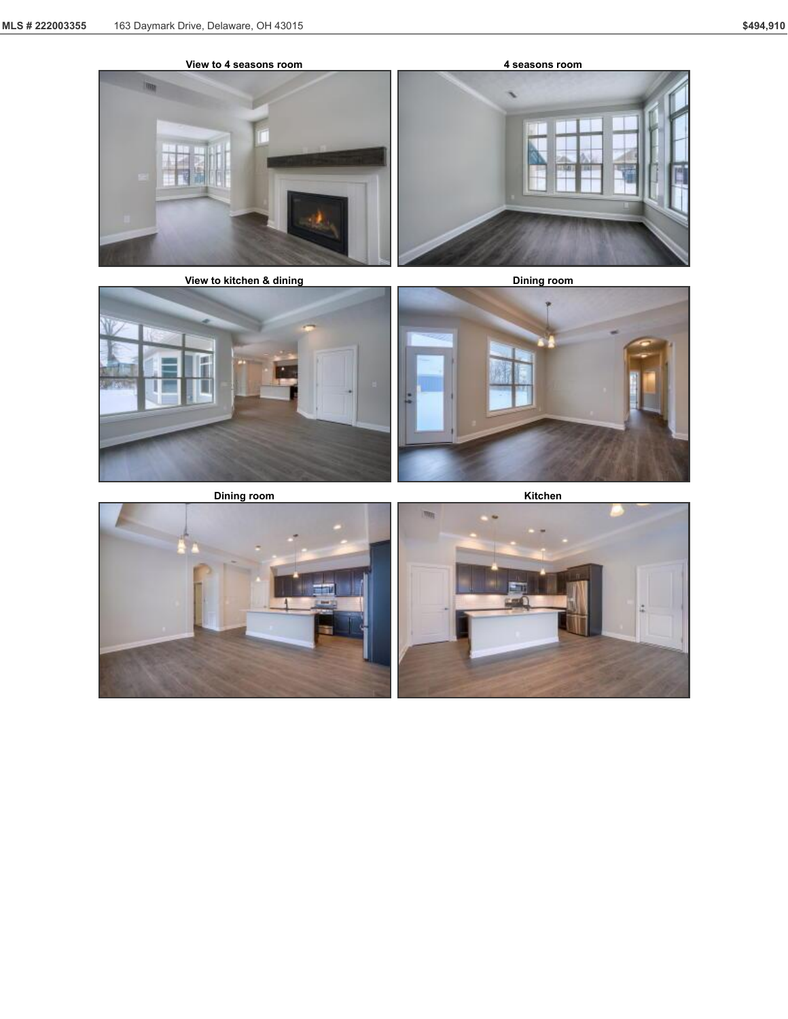







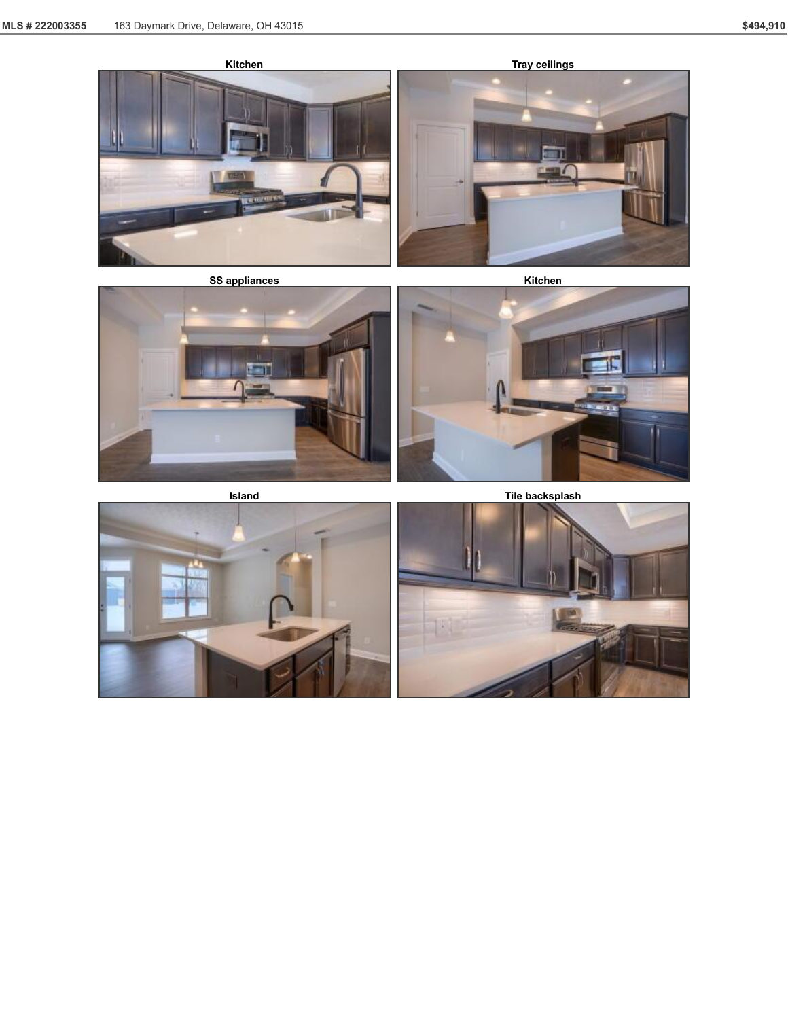





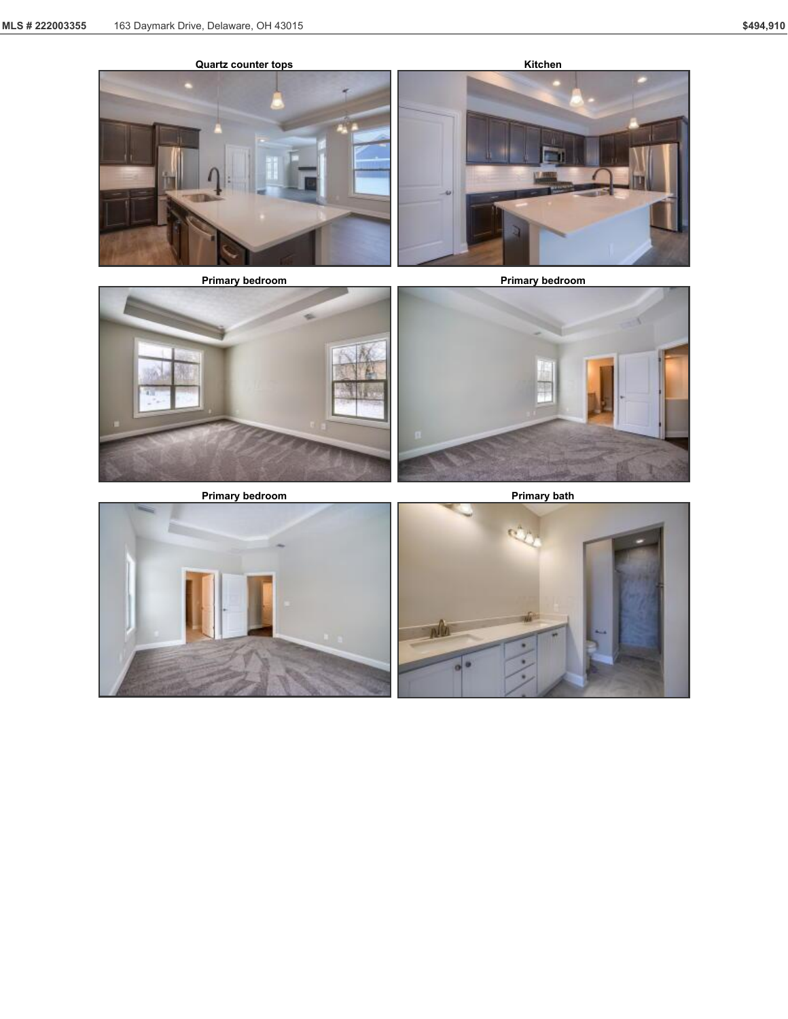



![](_page_5_Picture_7.jpeg)

![](_page_5_Picture_10.jpeg)

![](_page_5_Picture_11.jpeg)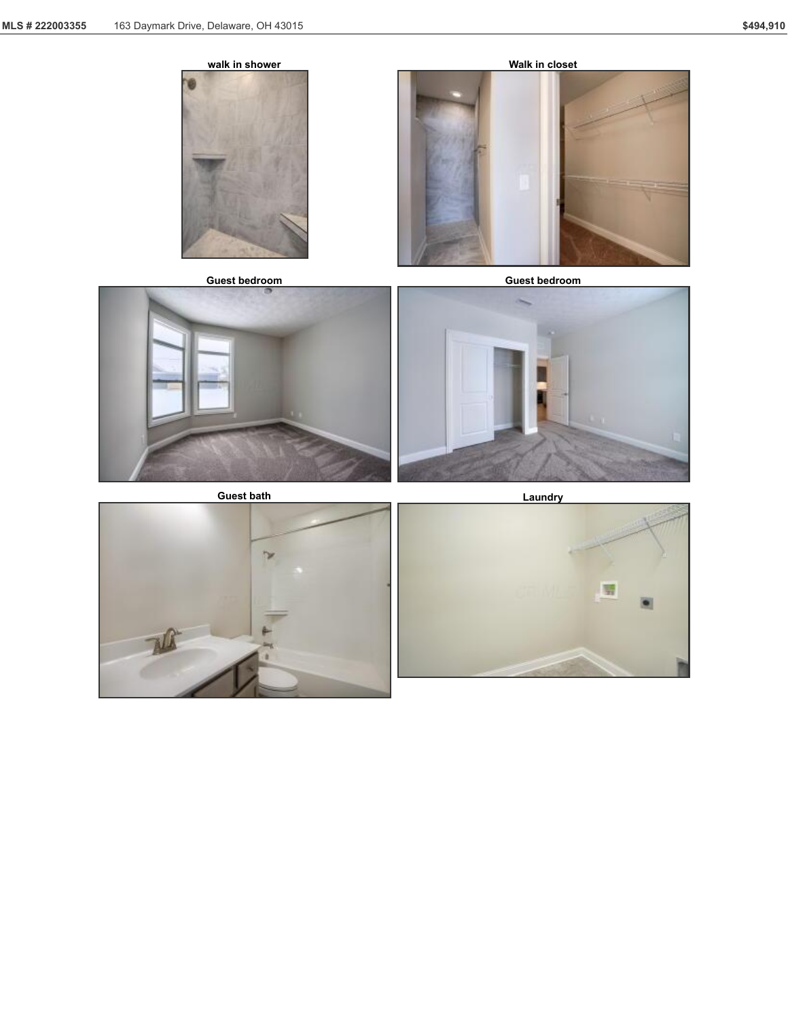![](_page_6_Picture_2.jpeg)

**Guest bedroom Guest bedroom**

![](_page_6_Picture_5.jpeg)

![](_page_6_Picture_6.jpeg)

![](_page_6_Picture_8.jpeg)

![](_page_6_Picture_9.jpeg)